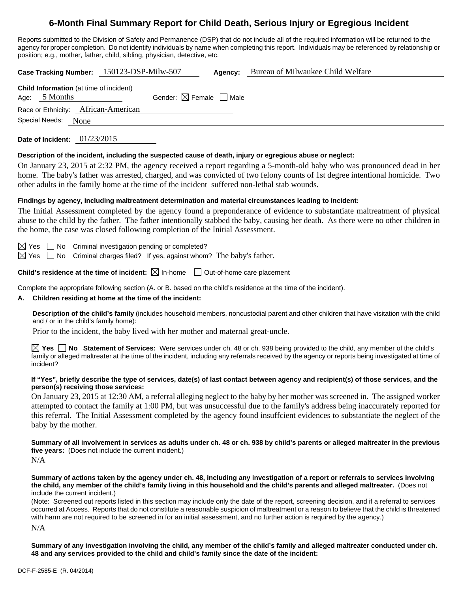# **6-Month Final Summary Report for Child Death, Serious Injury or Egregious Incident**

Reports submitted to the Division of Safety and Permanence (DSP) that do not include all of the required information will be returned to the agency for proper completion. Do not identify individuals by name when completing this report. Individuals may be referenced by relationship or position; e.g., mother, father, child, sibling, physician, detective, etc.

**Case Tracking Number:** 150123-DSP-Milw-507 **Agency:** Bureau of Milwaukee Child Welfare **Child Information** (at time of incident) Age:  $5$  Months Gender:  $\boxtimes$  Female  $\Box$  Male Race or Ethnicity: African-American Special Needs: None **Date of Incident:** 01/23/2015 **Description of the incident, including the suspected cause of death, injury or egregious abuse or neglect:**  On January 23, 2015 at 2:32 PM, the agency received a report regarding a 5-month-old baby who was pronounced dead in her home. The baby's father was arrested, charged, and was convicted of two felony counts of 1st degree intentional homicide. Two other adults in the family home at the time of the incident suffered non-lethal stab wounds. **Findings by agency, including maltreatment determination and material circumstances leading to incident:**  The Initial Assessment completed by the agency found a preponderance of evidence to substantiate maltreatment of physical abuse to the child by the father. The father intentionally stabbed the baby, causing her death. As there were no other children in

 $\boxtimes$  Yes  $\Box$  No Criminal investigation pending or completed?

 $\boxtimes$  Yes  $\Box$  No Criminal charges filed? If yes, against whom? The baby's father.

the home, the case was closed following completion of the Initial Assessment.

**Child's residence at the time of incident:**  $\boxtimes$  In-home  $\Box$  Out-of-home care placement

Complete the appropriate following section (A. or B. based on the child's residence at the time of the incident).

#### **A. Children residing at home at the time of the incident:**

**Description of the child's family** (includes household members, noncustodial parent and other children that have visitation with the child and / or in the child's family home):

Prior to the incident, the baby lived with her mother and maternal great-uncle.

**Yes No Statement of Services:** Were services under ch. 48 or ch. 938 being provided to the child, any member of the child's family or alleged maltreater at the time of the incident, including any referrals received by the agency or reports being investigated at time of incident?

#### **If "Yes", briefly describe the type of services, date(s) of last contact between agency and recipient(s) of those services, and the person(s) receiving those services:**

On January 23, 2015 at 12:30 AM, a referral alleging neglect to the baby by her mother was screened in. The assigned worker attempted to contact the family at 1:00 PM, but was unsuccessful due to the family's address being inaccurately reported for this referral. The Initial Assessment completed by the agency found insuffcient evidences to substantiate the neglect of the baby by the mother.

**Summary of all involvement in services as adults under ch. 48 or ch. 938 by child's parents or alleged maltreater in the previous five years:** (Does not include the current incident.) N/A

**Summary of actions taken by the agency under ch. 48, including any investigation of a report or referrals to services involving the child, any member of the child's family living in this household and the child's parents and alleged maltreater.** (Does not include the current incident.)

(Note: Screened out reports listed in this section may include only the date of the report, screening decision, and if a referral to services occurred at Access. Reports that do not constitute a reasonable suspicion of maltreatment or a reason to believe that the child is threatened with harm are not required to be screened in for an initial assessment, and no further action is required by the agency.)

N/A

**Summary of any investigation involving the child, any member of the child's family and alleged maltreater conducted under ch. 48 and any services provided to the child and child's family since the date of the incident:**